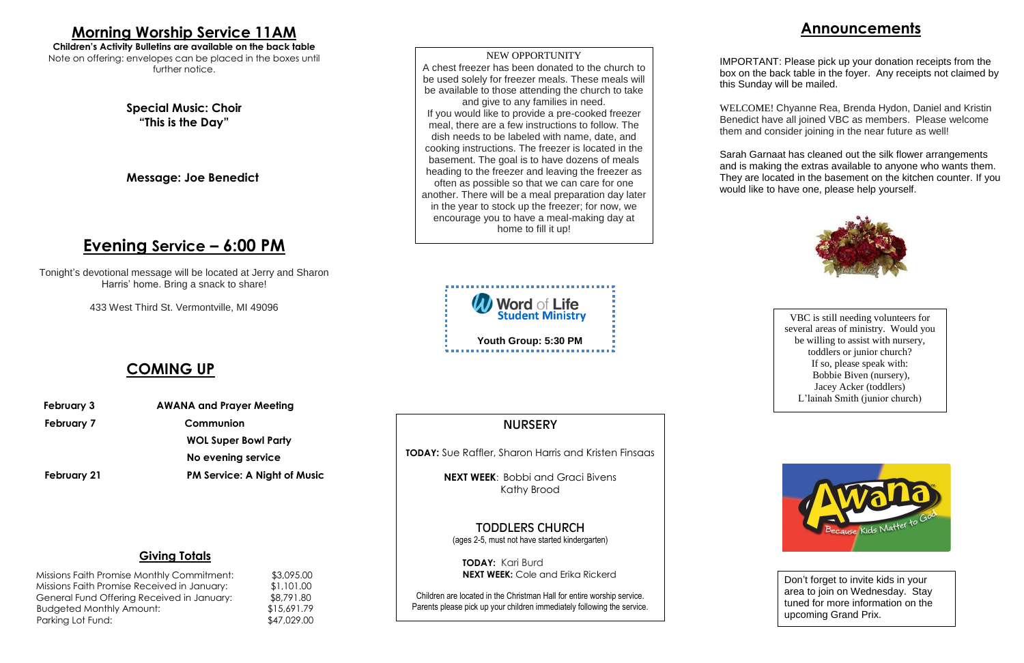## **Announcements**

IMPORTANT: Please pick up your donation receipts from the box on the back table in the foyer. Any receipts not claimed by this Sunday will be mailed.

WELCOME! Chyanne Rea, Brenda Hydon, Daniel and Kristin Benedict have all joined VBC as members. Please welcome them and consider joining in the near future as well!

Missions Faith Promise Monthly Commitment: \$3,095.00 Missions Faith Promise Received in January: \$1,101.00 General Fund Offering Received in January: \$8,791.80 Budgeted Monthly Amount: \$15,691.79 Parking Lot Fund: \$47,029.00

# **NURSERY**

Sarah Garnaat has cleaned out the silk flower arrangements and is making the extras available to anyone who wants them. They are located in the basement on the kitchen counter. If you would like to have one, please help yourself.



#### **Giving Totals**

**Children's Activity Bulletins are available on the back table** Note on offering: envelopes can be placed in the boxes until further notice.

**Church** 

**TODAY:** Sue Raffler, Sharon Harris and Kristen Finsaas

**NEXT WEEK**: Bobbi and Graci Bivens Kathy Brood

TODDLERS CHURCH (ages 2-5, must not have started kindergarten)

**TODAY:** Kari Burd **NEXT WEEK:** Cole and Erika Rickerd

Children are located in the Christman Hall for entire worship service. Parents please pick up your children immediately following the service.

# **Morning Worship Service 11AM**

**Special Music: Choir "This is the Day"**

**Message: Joe Benedict**

# **Evening Service – 6:00 PM**

Tonight's devotional message will be located at Jerry and Sharon Harris' home. Bring a snack to share!

433 West Third St. Vermontville, MI 49096

## **COMING UP**

- **February 3 AWANA and Prayer Meeting**
- 

February 7 Communion

**WOL Super Bowl Party**

# **No evening service February 21 PM Service: A Night of Music**



NEW OPPORTUNITY A chest freezer has been donated to the church to be used solely for freezer meals. These meals will be available to those attending the church to take and give to any families in need. If you would like to provide a pre-cooked freezer meal, there are a few instructions to follow. The dish needs to be labeled with name, date, and cooking instructions. The freezer is located in the basement. The goal is to have dozens of meals heading to the freezer and leaving the freezer as often as possible so that we can care for one another. There will be a meal preparation day later in the year to stock up the freezer; for now, we encourage you to have a meal-making day at home to fill it up!

VBC is still needing volunteers for several areas of ministry. Would you be willing to assist with nursery, toddlers or junior church? If so, please speak with: Bobbie Biven (nursery), Jacey Acker (toddlers) L'lainah Smith (junior church)



Don't forget to invite kids in your area to join on Wednesday. Stay tuned for more information on the upcoming Grand Prix.